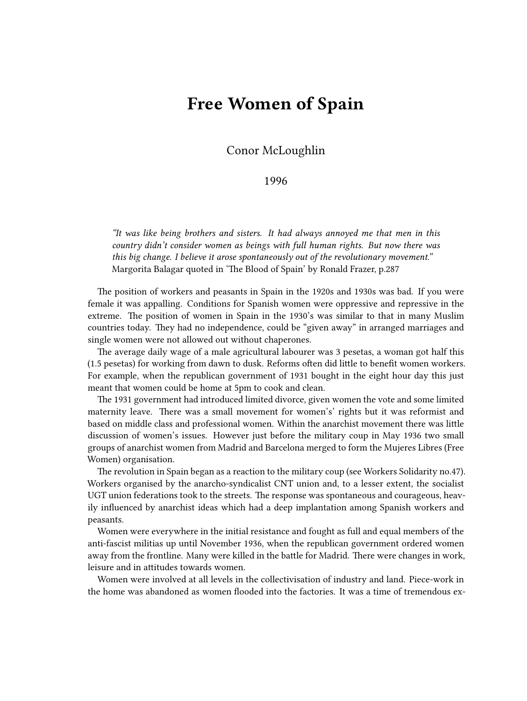## **Free Women of Spain**

Conor McLoughlin

## 1996

*"It was like being brothers and sisters. It had always annoyed me that men in this country didn't consider women as beings with full human rights. But now there was this big change. I believe it arose spontaneously out of the revolutionary movement."* Margorita Balagar quoted in 'The Blood of Spain' by Ronald Frazer, p.287

The position of workers and peasants in Spain in the 1920s and 1930s was bad. If you were female it was appalling. Conditions for Spanish women were oppressive and repressive in the extreme. The position of women in Spain in the 1930's was similar to that in many Muslim countries today. They had no independence, could be "given away" in arranged marriages and single women were not allowed out without chaperones.

The average daily wage of a male agricultural labourer was 3 pesetas, a woman got half this (1.5 pesetas) for working from dawn to dusk. Reforms often did little to benefit women workers. For example, when the republican government of 1931 bought in the eight hour day this just meant that women could be home at 5pm to cook and clean.

The 1931 government had introduced limited divorce, given women the vote and some limited maternity leave. There was a small movement for women's' rights but it was reformist and based on middle class and professional women. Within the anarchist movement there was little discussion of women's issues. However just before the military coup in May 1936 two small groups of anarchist women from Madrid and Barcelona merged to form the Mujeres Libres (Free Women) organisation.

The revolution in Spain began as a reaction to the military coup (see Workers Solidarity no.47). Workers organised by the anarcho-syndicalist CNT union and, to a lesser extent, the socialist UGT union federations took to the streets. The response was spontaneous and courageous, heavily influenced by anarchist ideas which had a deep implantation among Spanish workers and peasants.

Women were everywhere in the initial resistance and fought as full and equal members of the anti-fascist militias up until November 1936, when the republican government ordered women away from the frontline. Many were killed in the battle for Madrid. There were changes in work, leisure and in attitudes towards women.

Women were involved at all levels in the collectivisation of industry and land. Piece-work in the home was abandoned as women flooded into the factories. It was a time of tremendous ex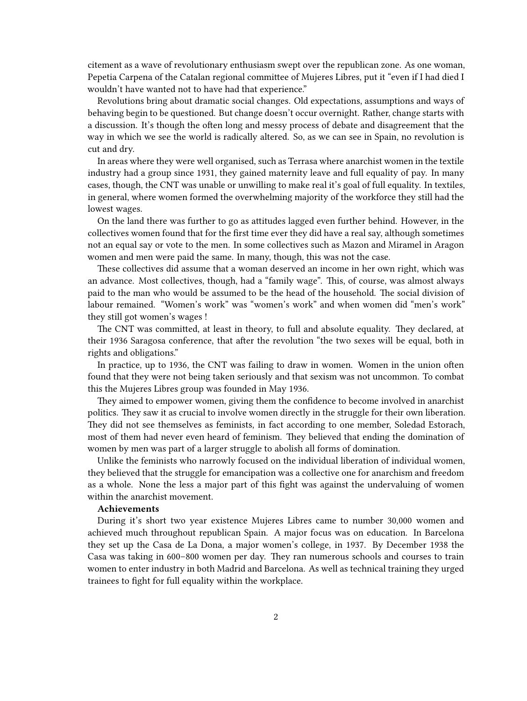citement as a wave of revolutionary enthusiasm swept over the republican zone. As one woman, Pepetia Carpena of the Catalan regional committee of Mujeres Libres, put it "even if I had died I wouldn't have wanted not to have had that experience."

Revolutions bring about dramatic social changes. Old expectations, assumptions and ways of behaving begin to be questioned. But change doesn't occur overnight. Rather, change starts with a discussion. It's though the often long and messy process of debate and disagreement that the way in which we see the world is radically altered. So, as we can see in Spain, no revolution is cut and dry.

In areas where they were well organised, such as Terrasa where anarchist women in the textile industry had a group since 1931, they gained maternity leave and full equality of pay. In many cases, though, the CNT was unable or unwilling to make real it's goal of full equality. In textiles, in general, where women formed the overwhelming majority of the workforce they still had the lowest wages.

On the land there was further to go as attitudes lagged even further behind. However, in the collectives women found that for the first time ever they did have a real say, although sometimes not an equal say or vote to the men. In some collectives such as Mazon and Miramel in Aragon women and men were paid the same. In many, though, this was not the case.

These collectives did assume that a woman deserved an income in her own right, which was an advance. Most collectives, though, had a "family wage". This, of course, was almost always paid to the man who would be assumed to be the head of the household. The social division of labour remained. "Women's work" was "women's work" and when women did "men's work" they still got women's wages !

The CNT was committed, at least in theory, to full and absolute equality. They declared, at their 1936 Saragosa conference, that after the revolution "the two sexes will be equal, both in rights and obligations."

In practice, up to 1936, the CNT was failing to draw in women. Women in the union often found that they were not being taken seriously and that sexism was not uncommon. To combat this the Mujeres Libres group was founded in May 1936.

They aimed to empower women, giving them the confidence to become involved in anarchist politics. They saw it as crucial to involve women directly in the struggle for their own liberation. They did not see themselves as feminists, in fact according to one member, Soledad Estorach, most of them had never even heard of feminism. They believed that ending the domination of women by men was part of a larger struggle to abolish all forms of domination.

Unlike the feminists who narrowly focused on the individual liberation of individual women, they believed that the struggle for emancipation was a collective one for anarchism and freedom as a whole. None the less a major part of this fight was against the undervaluing of women within the anarchist movement.

## **Achievements**

During it's short two year existence Mujeres Libres came to number 30,000 women and achieved much throughout republican Spain. A major focus was on education. In Barcelona they set up the Casa de La Dona, a major women's college, in 1937. By December 1938 the Casa was taking in 600–800 women per day. They ran numerous schools and courses to train women to enter industry in both Madrid and Barcelona. As well as technical training they urged trainees to fight for full equality within the workplace.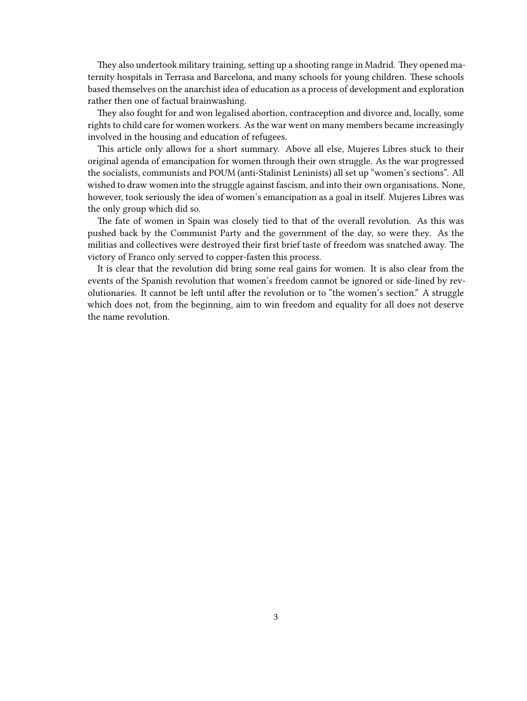They also undertook military training, setting up a shooting range in Madrid. They opened maternity hospitals in Terrasa and Barcelona, and many schools for young children. These schools based themselves on the anarchist idea of education as a process of development and exploration rather then one of factual brainwashing.

They also fought for and won legalised abortion, contraception and divorce and, locally, some rights to child care for women workers. As the war went on many members became increasingly involved in the housing and education of refugees.

This article only allows for a short summary. Above all else, Mujeres Libres stuck to their original agenda of emancipation for women through their own struggle. As the war progressed the socialists, communists and POUM (anti-Stalinist Leninists) all set up "women's sections". All wished to draw women into the struggle against fascism, and into their own organisations. None, however, took seriously the idea of women's emancipation as a goal in itself. Mujeres Libres was the only group which did so.

The fate of women in Spain was closely tied to that of the overall revolution. As this was pushed back by the Communist Party and the government of the day, so were they. As the militias and collectives were destroyed their first brief taste of freedom was snatched away. The victory of Franco only served to copper-fasten this process.

It is clear that the revolution did bring some real gains for women. It is also clear from the events of the Spanish revolution that women's freedom cannot be ignored or side-lined by revolutionaries. It cannot be left until after the revolution or to "the women's section." A struggle which does not, from the beginning, aim to win freedom and equality for all does not deserve the name revolution.